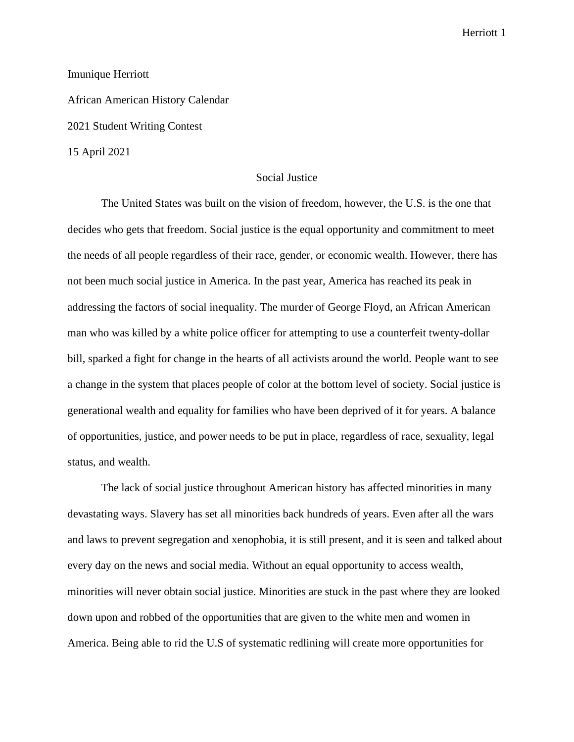Herriott 1

## Imunique Herriott

African American History Calendar

2021 Student Writing Contest

15 April 2021

## Social Justice

The United States was built on the vision of freedom, however, the U.S. is the one that decides who gets that freedom. Social justice is the equal opportunity and commitment to meet the needs of all people regardless of their race, gender, or economic wealth. However, there has not been much social justice in America. In the past year, America has reached its peak in addressing the factors of social inequality. The murder of George Floyd, an African American man who was killed by a white police officer for attempting to use a counterfeit twenty-dollar bill, sparked a fight for change in the hearts of all activists around the world. People want to see a change in the system that places people of color at the bottom level of society. Social justice is generational wealth and equality for families who have been deprived of it for years. A balance of opportunities, justice, and power needs to be put in place, regardless of race, sexuality, legal status, and wealth.

The lack of social justice throughout American history has affected minorities in many devastating ways. Slavery has set all minorities back hundreds of years. Even after all the wars and laws to prevent segregation and xenophobia, it is still present, and it is seen and talked about every day on the news and social media. Without an equal opportunity to access wealth, minorities will never obtain social justice. Minorities are stuck in the past where they are looked down upon and robbed of the opportunities that are given to the white men and women in America. Being able to rid the U.S of systematic redlining will create more opportunities for